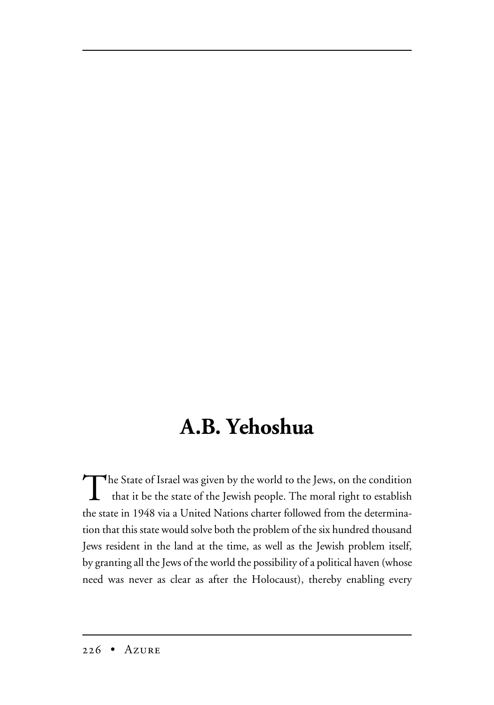## **A.B. Yehoshua**

The State of Israel was given by the world to the Jews, on the condition that it be the state of the Jewish people. The moral right to establish the state in 1948 via a United Nations charter followed from the determination that this state would solve both the problem of the six hundred thousand Jews resident in the land at the time, as well as the Jewish problem itself, by granting all the Jews of the world the possibility of a political haven (whose need was never as clear as after the Holocaust), thereby enabling every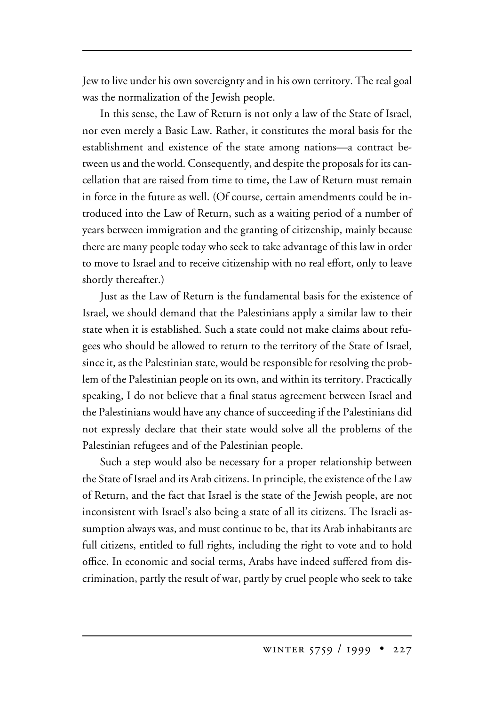Jew to live under his own sovereignty and in his own territory. The real goal was the normalization of the Jewish people.

In this sense, the Law of Return is not only a law of the State of Israel, nor even merely a Basic Law. Rather, it constitutes the moral basis for the establishment and existence of the state among nations—a contract between us and the world. Consequently, and despite the proposals for its cancellation that are raised from time to time, the Law of Return must remain in force in the future as well. (Of course, certain amendments could be introduced into the Law of Return, such as a waiting period of a number of years between immigration and the granting of citizenship, mainly because there are many people today who seek to take advantage of this law in order to move to Israel and to receive citizenship with no real effort, only to leave shortly thereafter.)

Just as the Law of Return is the fundamental basis for the existence of Israel, we should demand that the Palestinians apply a similar law to their state when it is established. Such a state could not make claims about refugees who should be allowed to return to the territory of the State of Israel, since it, as the Palestinian state, would be responsible for resolving the problem of the Palestinian people on its own, and within its territory. Practically speaking, I do not believe that a final status agreement between Israel and the Palestinians would have any chance of succeeding if the Palestinians did not expressly declare that their state would solve all the problems of the Palestinian refugees and of the Palestinian people.

Such a step would also be necessary for a proper relationship between the State of Israel and its Arab citizens. In principle, the existence of the Law of Return, and the fact that Israel is the state of the Jewish people, are not inconsistent with Israel's also being a state of all its citizens. The Israeli assumption always was, and must continue to be, that its Arab inhabitants are full citizens, entitled to full rights, including the right to vote and to hold office. In economic and social terms, Arabs have indeed suffered from discrimination, partly the result of war, partly by cruel people who seek to take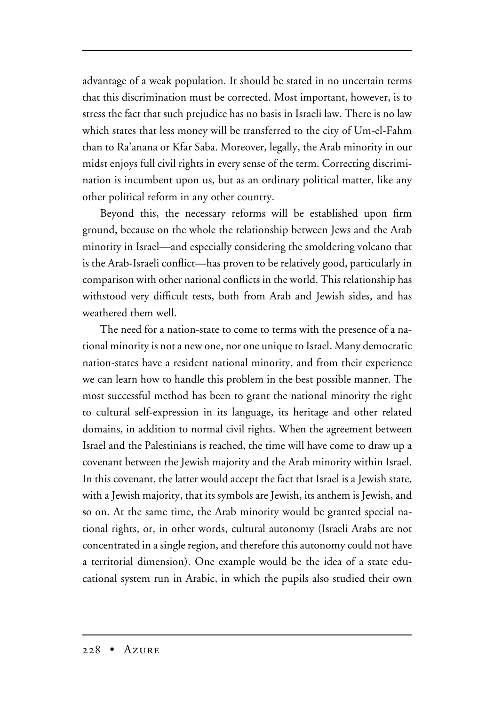advantage of a weak population. It should be stated in no uncertain terms that this discrimination must be corrected. Most important, however, is to stress the fact that such prejudice has no basis in Israeli law. There is no law which states that less money will be transferred to the city of Um-el-Fahm than to Ra'anana or Kfar Saba. Moreover, legally, the Arab minority in our midst enjoys full civil rights in every sense of the term. Correcting discrimination is incumbent upon us, but as an ordinary political matter, like any other political reform in any other country.

Beyond this, the necessary reforms will be established upon firm ground, because on the whole the relationship between Jews and the Arab minority in Israel—and especially considering the smoldering volcano that is the Arab-Israeli conflict—has proven to be relatively good, particularly in comparison with other national conflicts in the world. This relationship has withstood very difficult tests, both from Arab and Jewish sides, and has weathered them well.

The need for a nation-state to come to terms with the presence of a national minority is not a new one, nor one unique to Israel. Many democratic nation-states have a resident national minority, and from their experience we can learn how to handle this problem in the best possible manner. The most successful method has been to grant the national minority the right to cultural self-expression in its language, its heritage and other related domains, in addition to normal civil rights. When the agreement between Israel and the Palestinians is reached, the time will have come to draw up a covenant between the Jewish majority and the Arab minority within Israel. In this covenant, the latter would accept the fact that Israel is a Jewish state, with a Jewish majority, that its symbols are Jewish, its anthem is Jewish, and so on. At the same time, the Arab minority would be granted special national rights, or, in other words, cultural autonomy (Israeli Arabs are not concentrated in a single region, and therefore this autonomy could not have a territorial dimension). One example would be the idea of a state educational system run in Arabic, in which the pupils also studied their own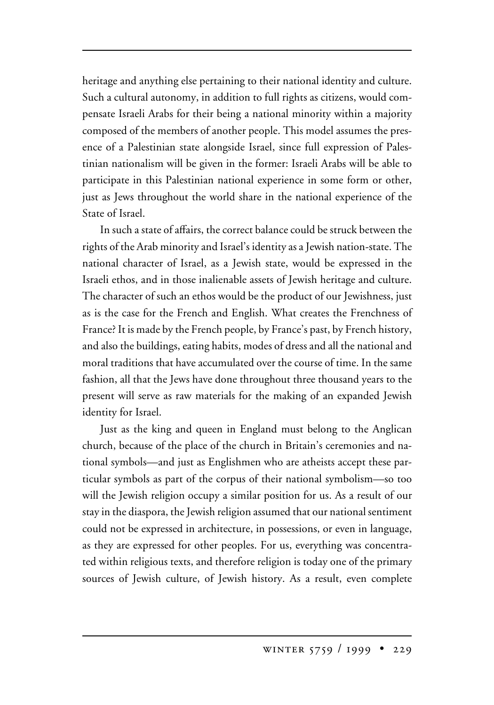heritage and anything else pertaining to their national identity and culture. Such a cultural autonomy, in addition to full rights as citizens, would compensate Israeli Arabs for their being a national minority within a majority composed of the members of another people. This model assumes the presence of a Palestinian state alongside Israel, since full expression of Palestinian nationalism will be given in the former: Israeli Arabs will be able to participate in this Palestinian national experience in some form or other, just as Jews throughout the world share in the national experience of the State of Israel.

In such a state of affairs, the correct balance could be struck between the rights of the Arab minority and Israel's identity as a Jewish nation-state. The national character of Israel, as a Jewish state, would be expressed in the Israeli ethos, and in those inalienable assets of Jewish heritage and culture. The character of such an ethos would be the product of our Jewishness, just as is the case for the French and English. What creates the Frenchness of France? It is made by the French people, by France's past, by French history, and also the buildings, eating habits, modes of dress and all the national and moral traditions that have accumulated over the course of time. In the same fashion, all that the Jews have done throughout three thousand years to the present will serve as raw materials for the making of an expanded Jewish identity for Israel.

Just as the king and queen in England must belong to the Anglican church, because of the place of the church in Britain's ceremonies and national symbols—and just as Englishmen who are atheists accept these particular symbols as part of the corpus of their national symbolism—so too will the Jewish religion occupy a similar position for us. As a result of our stay in the diaspora, the Jewish religion assumed that our national sentiment could not be expressed in architecture, in possessions, or even in language, as they are expressed for other peoples. For us, everything was concentrated within religious texts, and therefore religion is today one of the primary sources of Jewish culture, of Jewish history. As a result, even complete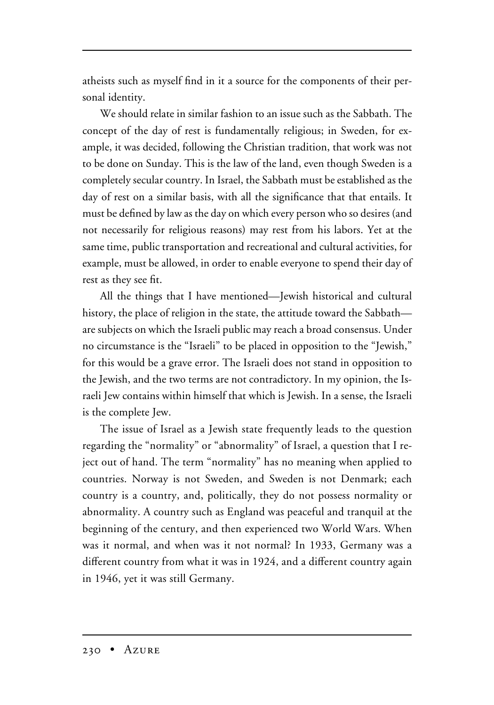atheists such as myself find in it a source for the components of their personal identity.

We should relate in similar fashion to an issue such as the Sabbath. The concept of the day of rest is fundamentally religious; in Sweden, for example, it was decided, following the Christian tradition, that work was not to be done on Sunday. This is the law of the land, even though Sweden is a completely secular country. In Israel, the Sabbath must be established as the day of rest on a similar basis, with all the significance that that entails. It must be defined by law as the day on which every person who so desires (and not necessarily for religious reasons) may rest from his labors. Yet at the same time, public transportation and recreational and cultural activities, for example, must be allowed, in order to enable everyone to spend their day of rest as they see fit.

All the things that I have mentioned—Jewish historical and cultural history, the place of religion in the state, the attitude toward the Sabbath are subjects on which the Israeli public may reach a broad consensus. Under no circumstance is the "Israeli" to be placed in opposition to the "Jewish," for this would be a grave error. The Israeli does not stand in opposition to the Jewish, and the two terms are not contradictory. In my opinion, the Israeli Jew contains within himself that which is Jewish. In a sense, the Israeli is the complete Jew.

The issue of Israel as a Jewish state frequently leads to the question regarding the "normality" or "abnormality" of Israel, a question that I reject out of hand. The term "normality" has no meaning when applied to countries. Norway is not Sweden, and Sweden is not Denmark; each country is a country, and, politically, they do not possess normality or abnormality. A country such as England was peaceful and tranquil at the beginning of the century, and then experienced two World Wars. When was it normal, and when was it not normal? In 1933, Germany was a different country from what it was in 1924, and a different country again in 1946, yet it was still Germany.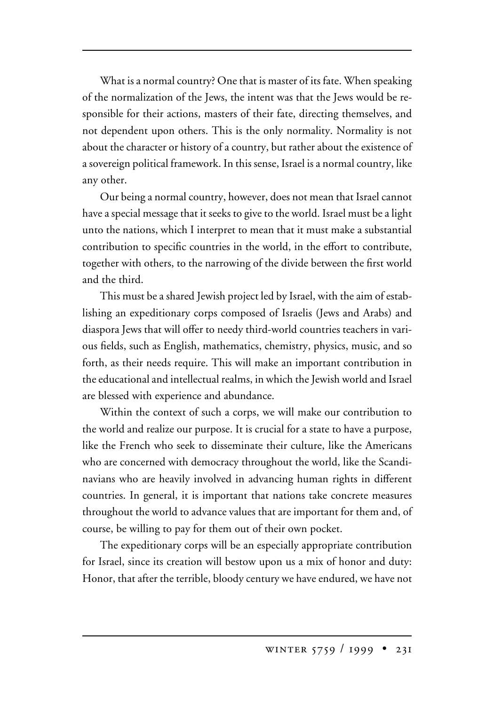What is a normal country? One that is master of its fate. When speaking of the normalization of the Jews, the intent was that the Jews would be responsible for their actions, masters of their fate, directing themselves, and not dependent upon others. This is the only normality. Normality is not about the character or history of a country, but rather about the existence of a sovereign political framework. In this sense, Israel is a normal country, like any other.

Our being a normal country, however, does not mean that Israel cannot have a special message that it seeks to give to the world. Israel must be a light unto the nations, which I interpret to mean that it must make a substantial contribution to specific countries in the world, in the effort to contribute, together with others, to the narrowing of the divide between the first world and the third.

This must be a shared Jewish project led by Israel, with the aim of establishing an expeditionary corps composed of Israelis (Jews and Arabs) and diaspora Jews that will offer to needy third-world countries teachers in various fields, such as English, mathematics, chemistry, physics, music, and so forth, as their needs require. This will make an important contribution in the educational and intellectual realms, in which the Jewish world and Israel are blessed with experience and abundance.

Within the context of such a corps, we will make our contribution to the world and realize our purpose. It is crucial for a state to have a purpose, like the French who seek to disseminate their culture, like the Americans who are concerned with democracy throughout the world, like the Scandinavians who are heavily involved in advancing human rights in different countries. In general, it is important that nations take concrete measures throughout the world to advance values that are important for them and, of course, be willing to pay for them out of their own pocket.

The expeditionary corps will be an especially appropriate contribution for Israel, since its creation will bestow upon us a mix of honor and duty: Honor, that after the terrible, bloody century we have endured, we have not